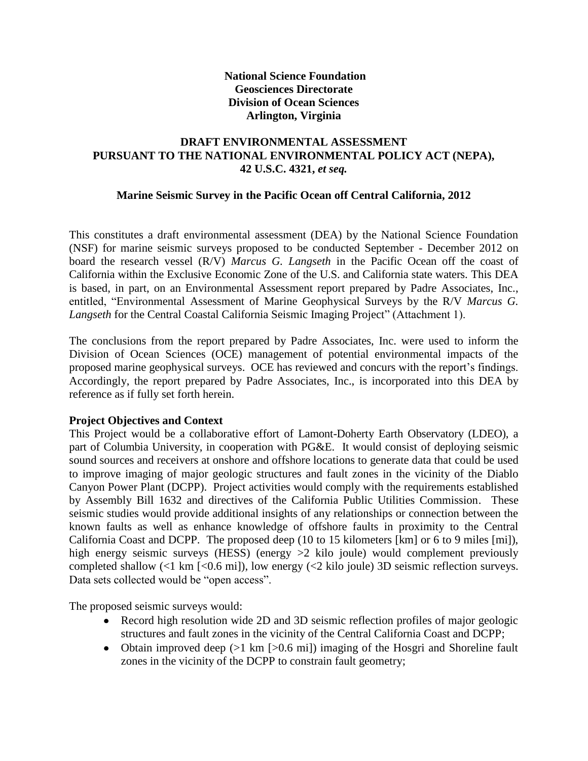# **National Science Foundation Geosciences Directorate Division of Ocean Sciences Arlington, Virginia**

# **DRAFT ENVIRONMENTAL ASSESSMENT PURSUANT TO THE NATIONAL ENVIRONMENTAL POLICY ACT (NEPA), 42 U.S.C. 4321,** *et seq.*

# **Marine Seismic Survey in the Pacific Ocean off Central California, 2012**

This constitutes a draft environmental assessment (DEA) by the National Science Foundation (NSF) for marine seismic surveys proposed to be conducted September - December 2012 on board the research vessel (R/V) *Marcus G. Langseth* in the Pacific Ocean off the coast of California within the Exclusive Economic Zone of the U.S. and California state waters. This DEA is based, in part, on an Environmental Assessment report prepared by Padre Associates, Inc., entitled, "Environmental Assessment of Marine Geophysical Surveys by the R/V *Marcus G. Langseth* for the Central Coastal California Seismic Imaging Project" (Attachment 1).

The conclusions from the report prepared by Padre Associates, Inc. were used to inform the Division of Ocean Sciences (OCE) management of potential environmental impacts of the proposed marine geophysical surveys. OCE has reviewed and concurs with the report's findings. Accordingly, the report prepared by Padre Associates, Inc., is incorporated into this DEA by reference as if fully set forth herein.

#### **Project Objectives and Context**

This Project would be a collaborative effort of Lamont-Doherty Earth Observatory (LDEO), a part of Columbia University, in cooperation with PG&E. It would consist of deploying seismic sound sources and receivers at onshore and offshore locations to generate data that could be used to improve imaging of major geologic structures and fault zones in the vicinity of the Diablo Canyon Power Plant (DCPP). Project activities would comply with the requirements established by Assembly Bill 1632 and directives of the California Public Utilities Commission. These seismic studies would provide additional insights of any relationships or connection between the known faults as well as enhance knowledge of offshore faults in proximity to the Central California Coast and DCPP. The proposed deep (10 to 15 kilometers [km] or 6 to 9 miles [mi]), high energy seismic surveys (HESS) (energy  $>2$  kilo joule) would complement previously completed shallow (<1 km [<0.6 mi]), low energy (<2 kilo joule) 3D seismic reflection surveys. Data sets collected would be "open access".

The proposed seismic surveys would:

- Record high resolution wide 2D and 3D seismic reflection profiles of major geologic structures and fault zones in the vicinity of the Central California Coast and DCPP;
- Obtain improved deep  $(>1 \text{ km } > 0.6 \text{ mi})$  imaging of the Hosgri and Shoreline fault zones in the vicinity of the DCPP to constrain fault geometry;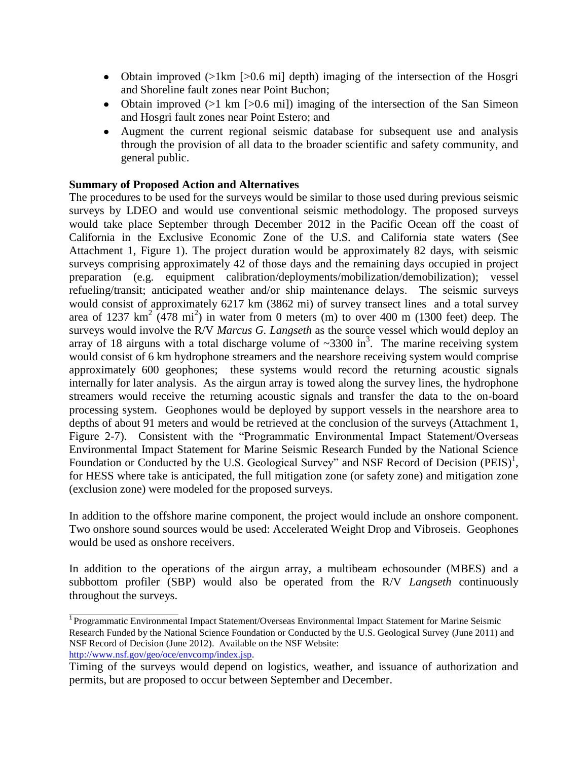- Obtain improved (>1km [>0.6 mi] depth) imaging of the intersection of the Hosgri and Shoreline fault zones near Point Buchon;
- Obtain improved  $(>1 \text{ km } >0.6 \text{ mi})$  imaging of the intersection of the San Simeon and Hosgri fault zones near Point Estero; and
- Augment the current regional seismic database for subsequent use and analysis through the provision of all data to the broader scientific and safety community, and general public.

#### **Summary of Proposed Action and Alternatives**

.

The procedures to be used for the surveys would be similar to those used during previous seismic surveys by LDEO and would use conventional seismic methodology. The proposed surveys would take place September through December 2012 in the Pacific Ocean off the coast of California in the Exclusive Economic Zone of the U.S. and California state waters (See Attachment 1, Figure 1). The project duration would be approximately 82 days, with seismic surveys comprising approximately 42 of those days and the remaining days occupied in project preparation (e.g. equipment calibration/deployments/mobilization/demobilization); vessel refueling/transit; anticipated weather and/or ship maintenance delays. The seismic surveys would consist of approximately 6217 km (3862 mi) of survey transect lines and a total survey area of 1237  $\text{km}^2$  (478 mi<sup>2</sup>) in water from 0 meters (m) to over 400 m (1300 feet) deep. The surveys would involve the R/V *Marcus G. Langseth* as the source vessel which would deploy an array of 18 airguns with a total discharge volume of  $\sim$ 3300 in<sup>3</sup>. The marine receiving system would consist of 6 km hydrophone streamers and the nearshore receiving system would comprise approximately 600 geophones; these systems would record the returning acoustic signals internally for later analysis. As the airgun array is towed along the survey lines, the hydrophone streamers would receive the returning acoustic signals and transfer the data to the on-board processing system. Geophones would be deployed by support vessels in the nearshore area to depths of about 91 meters and would be retrieved at the conclusion of the surveys (Attachment 1, Figure 2-7). Consistent with the "Programmatic Environmental Impact Statement/Overseas Environmental Impact Statement for Marine Seismic Research Funded by the National Science Foundation or Conducted by the U.S. Geological Survey" and NSF Record of Decision (PEIS)<sup>1</sup>, for HESS where take is anticipated, the full mitigation zone (or safety zone) and mitigation zone (exclusion zone) were modeled for the proposed surveys.

In addition to the offshore marine component, the project would include an onshore component. Two onshore sound sources would be used: Accelerated Weight Drop and Vibroseis. Geophones would be used as onshore receivers.

In addition to the operations of the airgun array, a multibeam echosounder (MBES) and a subbottom profiler (SBP) would also be operated from the R/V *Langseth* continuously throughout the surveys.

<sup>1</sup>Programmatic Environmental Impact Statement/Overseas Environmental Impact Statement for Marine Seismic Research Funded by the National Science Foundation or Conducted by the U.S. Geological Survey (June 2011) and NSF Record of Decision (June 2012). Available on the NSF Website: [http://www.nsf.gov/geo/oce/envcomp/index.jsp.](http://www.nsf.gov/geo/oce/envcomp/index.jsp)

Timing of the surveys would depend on logistics, weather, and issuance of authorization and permits, but are proposed to occur between September and December.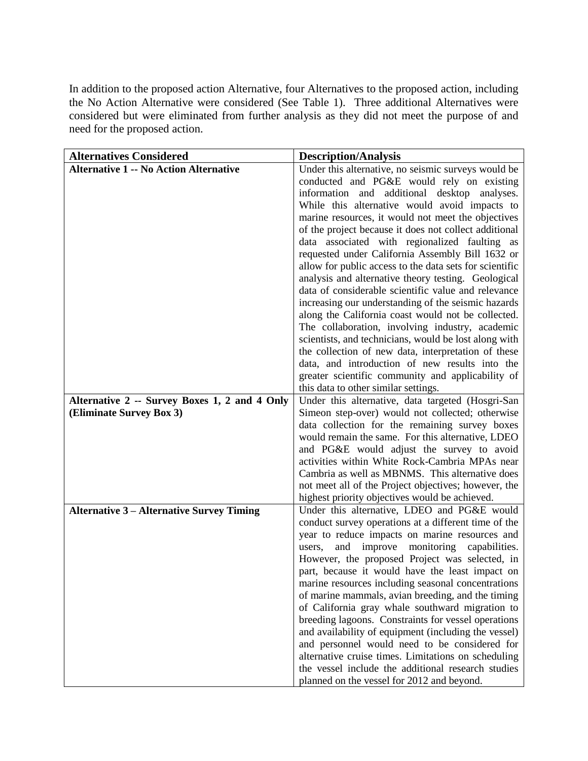In addition to the proposed action Alternative, four Alternatives to the proposed action, including the No Action Alternative were considered (See Table 1). Three additional Alternatives were considered but were eliminated from further analysis as they did not meet the purpose of and need for the proposed action.

| <b>Alternative 1 -- No Action Alternative</b><br>Under this alternative, no seismic surveys would be<br>conducted and PG&E would rely on existing<br>information and additional desktop analyses. |
|---------------------------------------------------------------------------------------------------------------------------------------------------------------------------------------------------|
|                                                                                                                                                                                                   |
|                                                                                                                                                                                                   |
|                                                                                                                                                                                                   |
| While this alternative would avoid impacts to                                                                                                                                                     |
| marine resources, it would not meet the objectives                                                                                                                                                |
| of the project because it does not collect additional                                                                                                                                             |
| data associated with regionalized faulting as                                                                                                                                                     |
| requested under California Assembly Bill 1632 or                                                                                                                                                  |
| allow for public access to the data sets for scientific                                                                                                                                           |
| analysis and alternative theory testing. Geological                                                                                                                                               |
| data of considerable scientific value and relevance<br>increasing our understanding of the seismic hazards                                                                                        |
| along the California coast would not be collected.                                                                                                                                                |
| The collaboration, involving industry, academic                                                                                                                                                   |
| scientists, and technicians, would be lost along with                                                                                                                                             |
| the collection of new data, interpretation of these                                                                                                                                               |
| data, and introduction of new results into the                                                                                                                                                    |
| greater scientific community and applicability of                                                                                                                                                 |
| this data to other similar settings.                                                                                                                                                              |
| Alternative 2 -- Survey Boxes 1, 2 and 4 Only<br>Under this alternative, data targeted (Hosgri-San                                                                                                |
| Simeon step-over) would not collected; otherwise<br>(Eliminate Survey Box 3)                                                                                                                      |
| data collection for the remaining survey boxes                                                                                                                                                    |
| would remain the same. For this alternative, LDEO                                                                                                                                                 |
| and PG&E would adjust the survey to avoid                                                                                                                                                         |
| activities within White Rock-Cambria MPAs near<br>Cambria as well as MBNMS. This alternative does                                                                                                 |
| not meet all of the Project objectives; however, the                                                                                                                                              |
| highest priority objectives would be achieved.                                                                                                                                                    |
| Under this alternative, LDEO and PG&E would<br><b>Alternative 3 – Alternative Survey Timing</b>                                                                                                   |
| conduct survey operations at a different time of the                                                                                                                                              |
| year to reduce impacts on marine resources and                                                                                                                                                    |
| monitoring<br>and<br>improve<br>capabilities.<br>users,                                                                                                                                           |
| However, the proposed Project was selected, in                                                                                                                                                    |
| part, because it would have the least impact on                                                                                                                                                   |
| marine resources including seasonal concentrations                                                                                                                                                |
| of marine mammals, avian breeding, and the timing                                                                                                                                                 |
| of California gray whale southward migration to                                                                                                                                                   |
| breeding lagoons. Constraints for vessel operations                                                                                                                                               |
| and availability of equipment (including the vessel)                                                                                                                                              |
| and personnel would need to be considered for                                                                                                                                                     |
| alternative cruise times. Limitations on scheduling<br>the vessel include the additional research studies                                                                                         |
| planned on the vessel for 2012 and beyond.                                                                                                                                                        |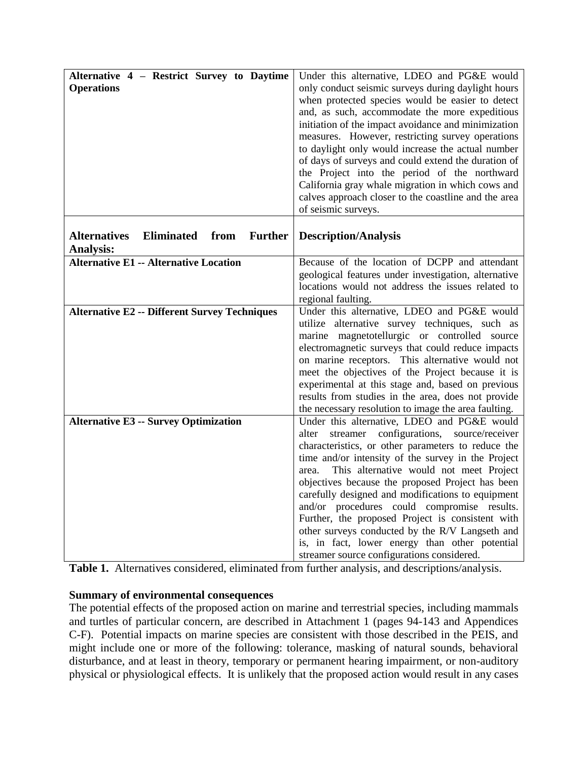| Alternative 4 - Restrict Survey to Daytime<br><b>Operations</b>                 | Under this alternative, LDEO and PG&E would<br>only conduct seismic surveys during daylight hours<br>when protected species would be easier to detect<br>and, as such, accommodate the more expeditious<br>initiation of the impact avoidance and minimization<br>measures. However, restricting survey operations<br>to daylight only would increase the actual number<br>of days of surveys and could extend the duration of<br>the Project into the period of the northward<br>California gray whale migration in which cows and<br>calves approach closer to the coastline and the area<br>of seismic surveys.              |
|---------------------------------------------------------------------------------|---------------------------------------------------------------------------------------------------------------------------------------------------------------------------------------------------------------------------------------------------------------------------------------------------------------------------------------------------------------------------------------------------------------------------------------------------------------------------------------------------------------------------------------------------------------------------------------------------------------------------------|
| <b>Eliminated</b><br><b>Alternatives</b><br>from<br><b>Further</b><br>Analysis: | <b>Description/Analysis</b>                                                                                                                                                                                                                                                                                                                                                                                                                                                                                                                                                                                                     |
| <b>Alternative E1 -- Alternative Location</b>                                   | Because of the location of DCPP and attendant<br>geological features under investigation, alternative<br>locations would not address the issues related to<br>regional faulting.                                                                                                                                                                                                                                                                                                                                                                                                                                                |
| <b>Alternative E2 -- Different Survey Techniques</b>                            | Under this alternative, LDEO and PG&E would<br>utilize alternative survey techniques, such as<br>marine magnetotellurgic or controlled source<br>electromagnetic surveys that could reduce impacts<br>on marine receptors. This alternative would not<br>meet the objectives of the Project because it is<br>experimental at this stage and, based on previous<br>results from studies in the area, does not provide<br>the necessary resolution to image the area faulting.                                                                                                                                                    |
| <b>Alternative E3 -- Survey Optimization</b>                                    | Under this alternative, LDEO and PG&E would<br>streamer configurations, source/receiver<br>alter<br>characteristics, or other parameters to reduce the<br>time and/or intensity of the survey in the Project<br>This alternative would not meet Project<br>area.<br>objectives because the proposed Project has been<br>carefully designed and modifications to equipment<br>and/or procedures could compromise results.<br>Further, the proposed Project is consistent with<br>other surveys conducted by the R/V Langseth and<br>is, in fact, lower energy than other potential<br>streamer source configurations considered. |

**Table 1.** Alternatives considered, eliminated from further analysis, and descriptions/analysis.

#### **Summary of environmental consequences**

The potential effects of the proposed action on marine and terrestrial species, including mammals and turtles of particular concern, are described in Attachment 1 (pages 94-143 and Appendices C-F). Potential impacts on marine species are consistent with those described in the PEIS, and might include one or more of the following: tolerance, masking of natural sounds, behavioral disturbance, and at least in theory, temporary or permanent hearing impairment, or non-auditory physical or physiological effects. It is unlikely that the proposed action would result in any cases